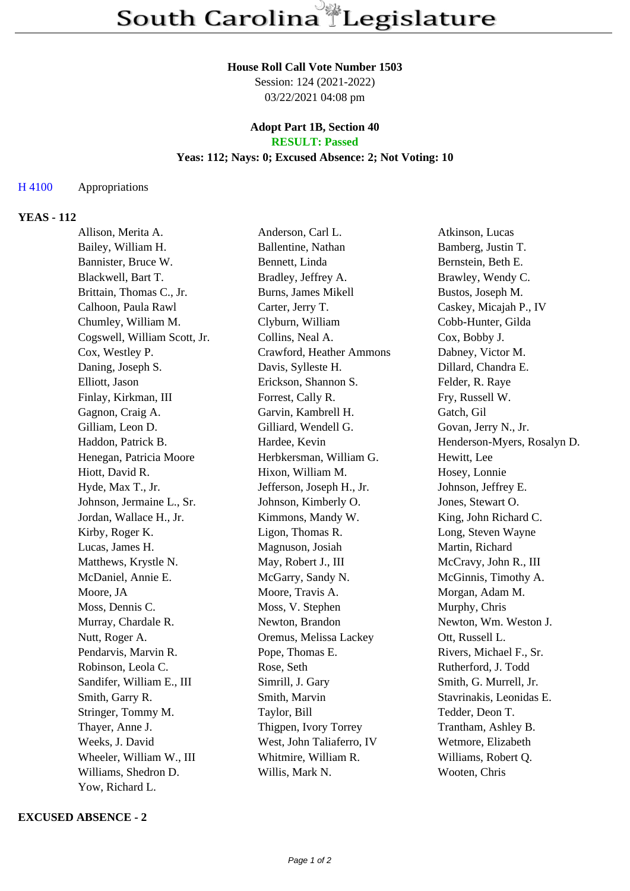#### **House Roll Call Vote Number 1503**

Session: 124 (2021-2022) 03/22/2021 04:08 pm

#### **Adopt Part 1B, Section 40 RESULT: Passed**

## **Yeas: 112; Nays: 0; Excused Absence: 2; Not Voting: 10**

### H 4100 Appropriations

# **YEAS - 112**

| Allison, Merita A.           | Anderson, Carl L.         | Atkinson, Lucas             |
|------------------------------|---------------------------|-----------------------------|
| Bailey, William H.           | Ballentine, Nathan        | Bamberg, Justin T.          |
| Bannister, Bruce W.          | Bennett, Linda            | Bernstein, Beth E.          |
| Blackwell, Bart T.           | Bradley, Jeffrey A.       | Brawley, Wendy C.           |
| Brittain, Thomas C., Jr.     | Burns, James Mikell       | Bustos, Joseph M.           |
| Calhoon, Paula Rawl          | Carter, Jerry T.          | Caskey, Micajah P., IV      |
| Chumley, William M.          | Clyburn, William          | Cobb-Hunter, Gilda          |
| Cogswell, William Scott, Jr. | Collins, Neal A.          | Cox, Bobby J.               |
| Cox, Westley P.              | Crawford, Heather Ammons  | Dabney, Victor M.           |
| Daning, Joseph S.            | Davis, Sylleste H.        | Dillard, Chandra E.         |
| Elliott, Jason               | Erickson, Shannon S.      | Felder, R. Raye             |
| Finlay, Kirkman, III         | Forrest, Cally R.         | Fry, Russell W.             |
| Gagnon, Craig A.             | Garvin, Kambrell H.       | Gatch, Gil                  |
| Gilliam, Leon D.             | Gilliard, Wendell G.      | Govan, Jerry N., Jr.        |
| Haddon, Patrick B.           | Hardee, Kevin             | Henderson-Myers, Rosalyn D. |
| Henegan, Patricia Moore      | Herbkersman, William G.   | Hewitt, Lee                 |
| Hiott, David R.              | Hixon, William M.         | Hosey, Lonnie               |
| Hyde, Max T., Jr.            | Jefferson, Joseph H., Jr. | Johnson, Jeffrey E.         |
| Johnson, Jermaine L., Sr.    | Johnson, Kimberly O.      | Jones, Stewart O.           |
| Jordan, Wallace H., Jr.      | Kimmons, Mandy W.         | King, John Richard C.       |
| Kirby, Roger K.              | Ligon, Thomas R.          | Long, Steven Wayne          |
| Lucas, James H.              | Magnuson, Josiah          | Martin, Richard             |
| Matthews, Krystle N.         | May, Robert J., III       | McCravy, John R., III       |
| McDaniel, Annie E.           | McGarry, Sandy N.         | McGinnis, Timothy A.        |
| Moore, JA                    | Moore, Travis A.          | Morgan, Adam M.             |
| Moss, Dennis C.              | Moss, V. Stephen          | Murphy, Chris               |
| Murray, Chardale R.          | Newton, Brandon           | Newton, Wm. Weston J.       |
| Nutt, Roger A.               | Oremus, Melissa Lackey    | Ott, Russell L.             |
| Pendarvis, Marvin R.         | Pope, Thomas E.           | Rivers, Michael F., Sr.     |
| Robinson, Leola C.           | Rose, Seth                | Rutherford, J. Todd         |
| Sandifer, William E., III    | Simrill, J. Gary          | Smith, G. Murrell, Jr.      |
| Smith, Garry R.              | Smith, Marvin             | Stavrinakis, Leonidas E.    |
| Stringer, Tommy M.           | Taylor, Bill              | Tedder, Deon T.             |
| Thayer, Anne J.              | Thigpen, Ivory Torrey     | Trantham, Ashley B.         |
| Weeks, J. David              | West, John Taliaferro, IV | Wetmore, Elizabeth          |
| Wheeler, William W., III     | Whitmire, William R.      | Williams, Robert Q.         |
| Williams, Shedron D.         | Willis, Mark N.           | Wooten, Chris               |
| Yow, Richard L.              |                           |                             |

### **EXCUSED ABSENCE - 2**